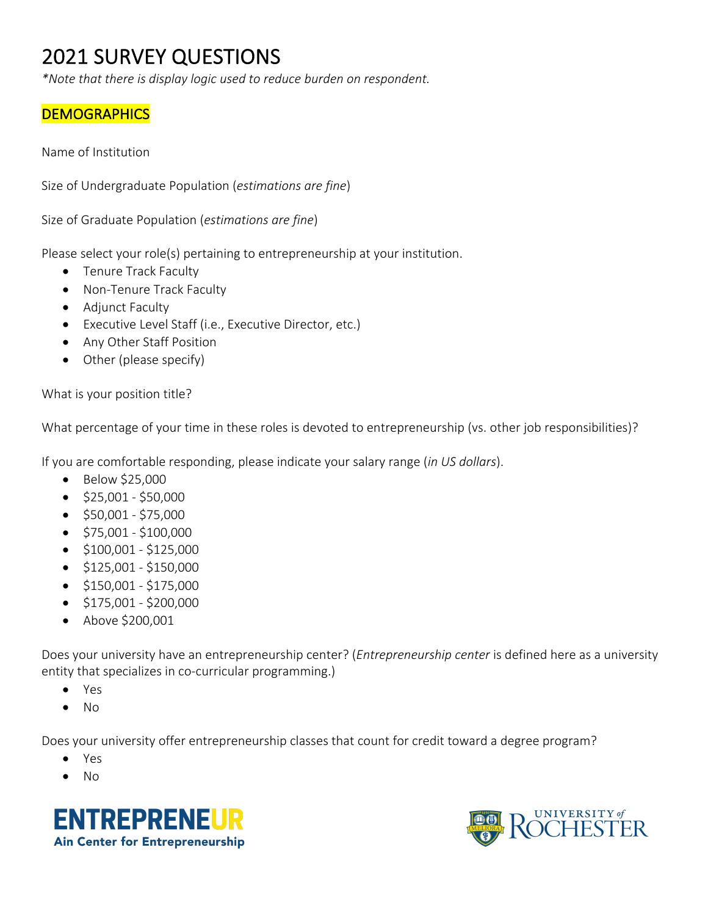# 2021 SURVEY QUESTIONS

*\*Note that there is display logic used to reduce burden on respondent.* 

## **DEMOGRAPHICS**

Name of Institution

Size of Undergraduate Population (*estimations are fine*)

Size of Graduate Population (*estimations are fine*)

Please select your role(s) pertaining to entrepreneurship at your institution.

- Tenure Track Faculty
- Non-Tenure Track Faculty
- Adjunct Faculty
- Executive Level Staff (i.e., Executive Director, etc.)
- Any Other Staff Position
- Other (please specify)

What is your position title?

What percentage of your time in these roles is devoted to entrepreneurship (vs. other job responsibilities)?

If you are comfortable responding, please indicate your salary range (*in US dollars*).

- Below \$25,000
- $\bullet$  \$25,001 \$50,000
- $\bullet$  \$50,001 \$75,000
- $\bullet$  \$75,001 \$100,000
- $\bullet$  \$100,001 \$125,000
- $\bullet$  \$125,001 \$150,000
- $\bullet$  \$150,001 \$175,000
- $\bullet$  \$175,001 \$200,000
- Above \$200,001

Does your university have an entrepreneurship center? (*Entrepreneurship center* is defined here as a university entity that specializes in co-curricular programming.)

- Yes
- No

Does your university offer entrepreneurship classes that count for credit toward a degree program?

- Yes
- No



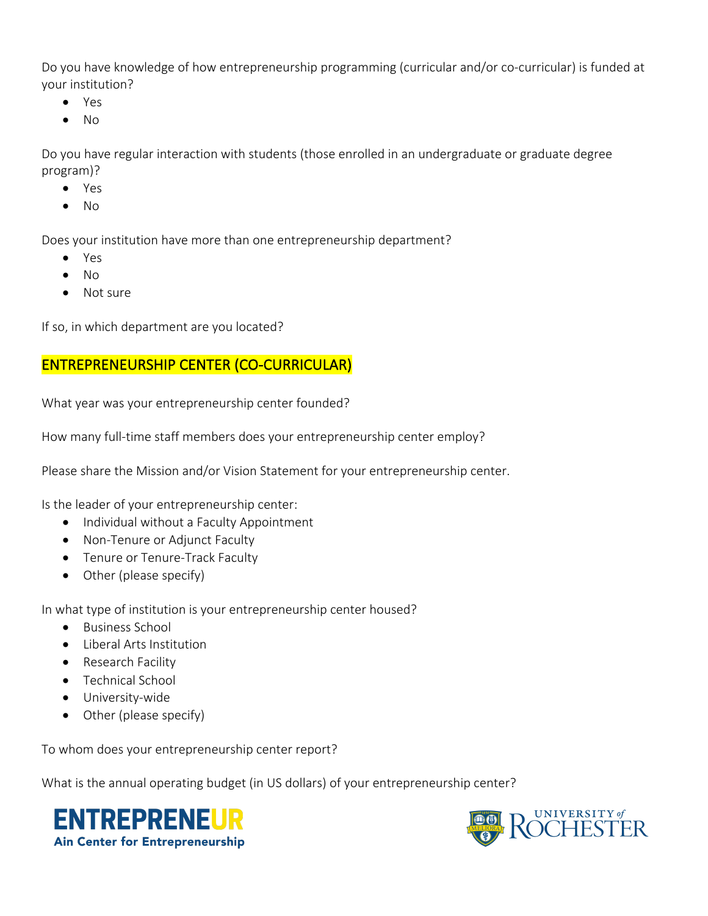Do you have knowledge of how entrepreneurship programming (curricular and/or co-curricular) is funded at your institution?

- Yes
- No

Do you have regular interaction with students (those enrolled in an undergraduate or graduate degree program)?

- Yes
- No

Does your institution have more than one entrepreneurship department?

- Yes
- No
- Not sure

If so, in which department are you located?

## ENTREPRENEURSHIP CENTER (CO-CURRICULAR)

What year was your entrepreneurship center founded?

How many full-time staff members does your entrepreneurship center employ?

Please share the Mission and/or Vision Statement for your entrepreneurship center.

Is the leader of your entrepreneurship center:

- Individual without a Faculty Appointment
- Non-Tenure or Adjunct Faculty
- Tenure or Tenure-Track Faculty
- Other (please specify)

In what type of institution is your entrepreneurship center housed?

- Business School
- Liberal Arts Institution
- Research Facility
- Technical School
- University-wide
- Other (please specify)

To whom does your entrepreneurship center report?

What is the annual operating budget (in US dollars) of your entrepreneurship center?



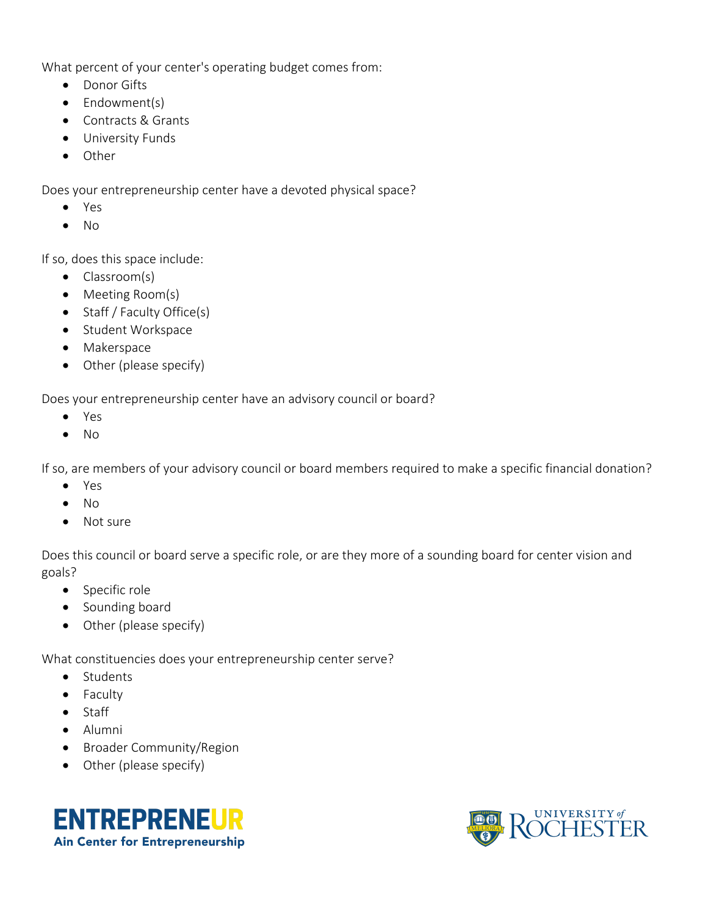What percent of your center's operating budget comes from:

- Donor Gifts
- Endowment(s)
- Contracts & Grants
- University Funds
- Other

Does your entrepreneurship center have a devoted physical space?

- Yes
- No

If so, does this space include:

- Classroom(s)
- Meeting Room(s)
- Staff / Faculty Office(s)
- Student Workspace
- Makerspace
- Other (please specify)

Does your entrepreneurship center have an advisory council or board?

- Yes
- No

If so, are members of your advisory council or board members required to make a specific financial donation?

- Yes
- No
- Not sure

Does this council or board serve a specific role, or are they more of a sounding board for center vision and goals?

- Specific role
- Sounding board
- Other (please specify)

What constituencies does your entrepreneurship center serve?

- Students
- Faculty
- Staff
- Alumni
- Broader Community/Region
- Other (please specify)



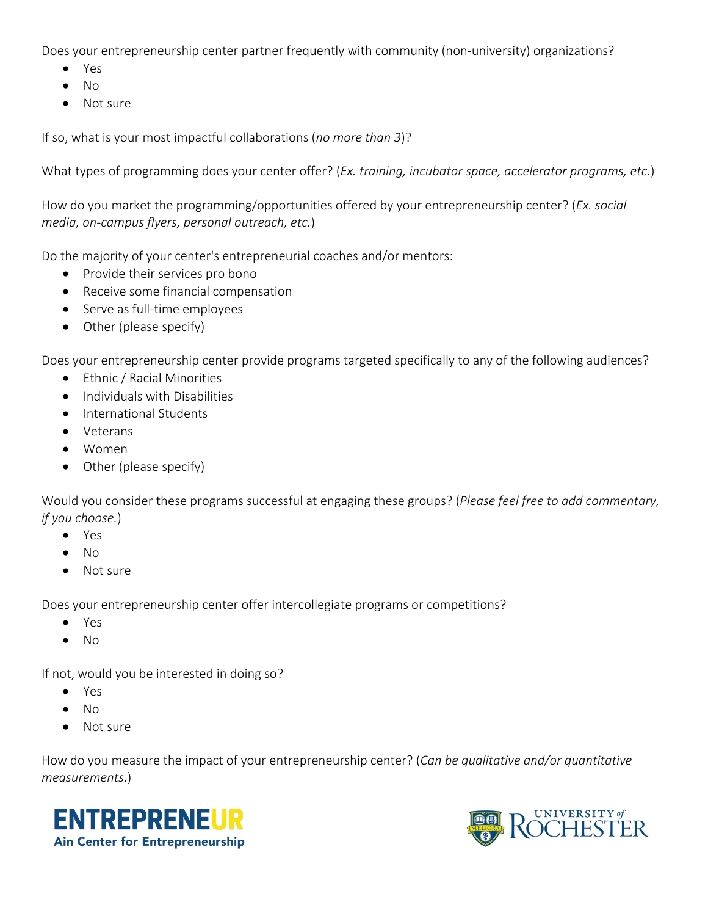Does your entrepreneurship center partner frequently with community (non-university) organizations?

- Yes
- No
- Not sure

If so, what is your most impactful collaborations (*no more than 3*)?

What types of programming does your center offer? (*Ex. training, incubator space, accelerator programs, etc*.)

How do you market the programming/opportunities offered by your entrepreneurship center? (*Ex. social media, on-campus flyers, personal outreach, etc.*)

Do the majority of your center's entrepreneurial coaches and/or mentors:

- Provide their services pro bono
- Receive some financial compensation
- Serve as full-time employees
- Other (please specify)

Does your entrepreneurship center provide programs targeted specifically to any of the following audiences?

- Ethnic / Racial Minorities
- Individuals with Disabilities
- International Students
- Veterans
- Women
- Other (please specify)

Would you consider these programs successful at engaging these groups? (*Please feel free to add commentary, if you choose.*)

- Yes
- No
- Not sure

Does your entrepreneurship center offer intercollegiate programs or competitions?

- Yes
- No

If not, would you be interested in doing so?

- Yes
- $N<sub>0</sub>$
- Not sure

How do you measure the impact of your entrepreneurship center? (*Can be qualitative and/or quantitative measurements*.)



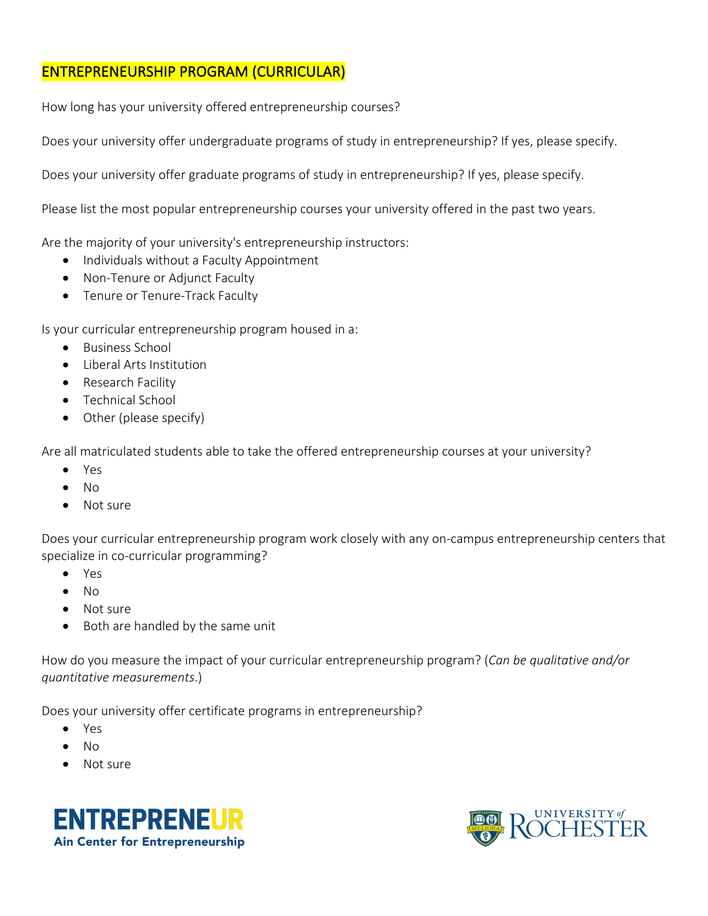### ENTREPRENEURSHIP PROGRAM (CURRICULAR)

How long has your university offered entrepreneurship courses?

Does your university offer undergraduate programs of study in entrepreneurship? If yes, please specify.

Does your university offer graduate programs of study in entrepreneurship? If yes, please specify.

Please list the most popular entrepreneurship courses your university offered in the past two years.

Are the majority of your university's entrepreneurship instructors:

- Individuals without a Faculty Appointment
- Non-Tenure or Adjunct Faculty
- Tenure or Tenure-Track Faculty

Is your curricular entrepreneurship program housed in a:

- Business School
- Liberal Arts Institution
- Research Facility
- Technical School
- Other (please specify)

Are all matriculated students able to take the offered entrepreneurship courses at your university?

- Yes
- No
- Not sure

Does your curricular entrepreneurship program work closely with any on-campus entrepreneurship centers that specialize in co-curricular programming?

- Yes
- No
- Not sure
- Both are handled by the same unit

How do you measure the impact of your curricular entrepreneurship program? (*Can be qualitative and/or quantitative measurements*.)

Does your university offer certificate programs in entrepreneurship?

- Yes
- No
- Not sure